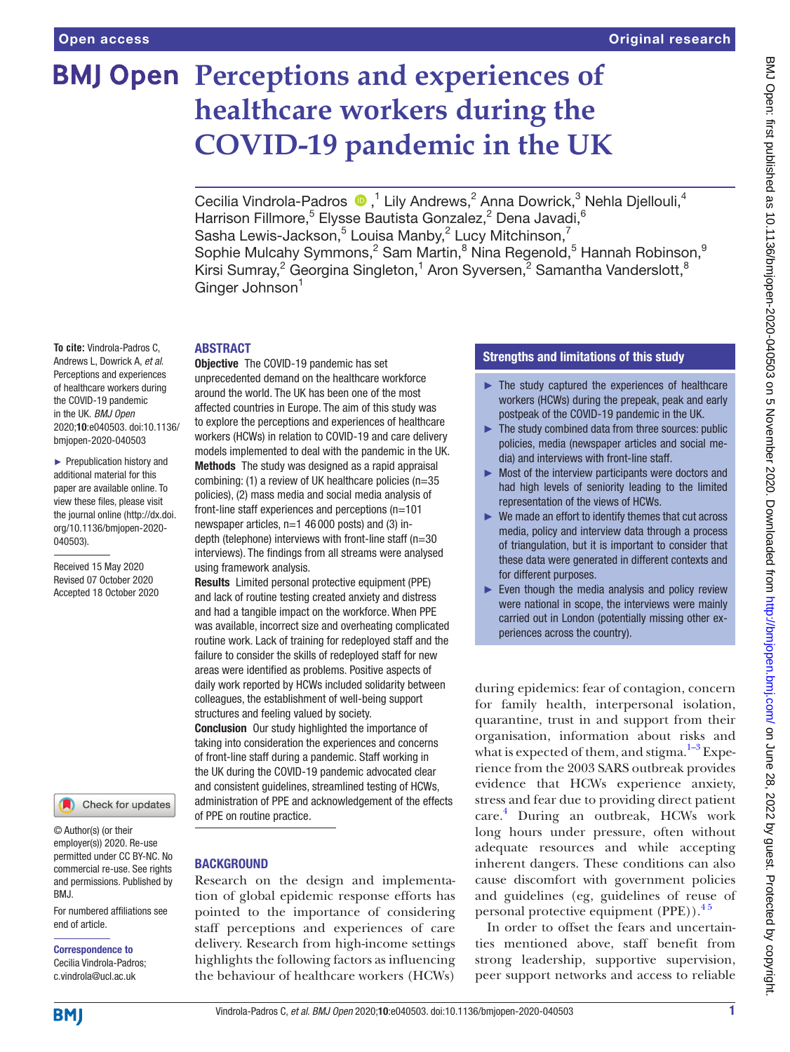# **BMJ Open Perceptions and experiences of healthcare workers during the COVID-19 pandemic in the UK**

CeciliaVindrola-Padros  $\bigcirc$ ,<sup>1</sup> Lily Andrews,<sup>2</sup> Anna Dowrick,<sup>3</sup> Nehla Djellouli,<sup>4</sup> Harrison Fillmore,<sup>5</sup> Elysse Bautista Gonzalez,<sup>2</sup> Dena Javadi,<sup>6</sup> Sasha Lewis-Jackson, $^5$  Louisa Manby, $^2$  Lucy Mitchinson, $^7$ Sophie Mulcahy Symmons,<sup>2</sup> Sam Martin,<sup>8</sup> Nina Regenold,<sup>5</sup> Hannah Robinson,<sup>9</sup> Kirsi Sumray,<sup>2</sup> Georgina Singleton,<sup>1</sup> Aron Syversen,<sup>2</sup> Samantha Vanderslott,<sup>8</sup> Ginger Johnson<sup>1</sup>

## ABSTRACT

**To cite:** Vindrola-Padros C, Andrews L, Dowrick A, *et al*. Perceptions and experiences of healthcare workers during the COVID-19 pandemic in the UK. *BMJ Open* 2020;10:e040503. doi:10.1136/ bmjopen-2020-040503

► Prepublication history and additional material for this paper are available online. To view these files, please visit the journal online (http://dx.doi. org/10.1136/bmjopen-2020- 040503).

Received 15 May 2020 Revised 07 October 2020 Accepted 18 October 2020



© Author(s) (or their employer(s)) 2020. Re-use permitted under CC BY-NC. No commercial re-use. See rights and permissions. Published by BMJ.

For numbered affiliations see end of article.

Correspondence to Cecilia Vindrola-Padros; c.vindrola@ucl.ac.uk

**Objective** The COVID-19 pandemic has set unprecedented demand on the healthcare workforce around the world. The UK has been one of the most affected countries in Europe. The aim of this study was to explore the perceptions and experiences of healthcare workers (HCWs) in relation to COVID-19 and care delivery models implemented to deal with the pandemic in the UK. Methods The study was designed as a rapid appraisal combining: (1) a review of UK healthcare policies (n=35 policies), (2) mass media and social media analysis of front-line staff experiences and perceptions (n=101 newspaper articles, n=1 46 000 posts) and (3) indepth (telephone) interviews with front-line staff (n=30 interviews). The findings from all streams were analysed using framework analysis.

Results Limited personal protective equipment (PPE) and lack of routine testing created anxiety and distress and had a tangible impact on the workforce. When PPE was available, incorrect size and overheating complicated routine work. Lack of training for redeployed staff and the failure to consider the skills of redeployed staff for new areas were identified as problems. Positive aspects of daily work reported by HCWs included solidarity between colleagues, the establishment of well-being support structures and feeling valued by society.

Conclusion Our study highlighted the importance of taking into consideration the experiences and concerns of front-line staff during a pandemic. Staff working in the UK during the COVID-19 pandemic advocated clear and consistent guidelines, streamlined testing of HCWs, administration of PPE and acknowledgement of the effects of PPE on routine practice.

# **BACKGROUND**

Research on the design and implementation of global epidemic response efforts has pointed to the importance of considering staff perceptions and experiences of care delivery. Research from high-income settings highlights the following factors as influencing the behaviour of healthcare workers (HCWs)

# Strengths and limitations of this study

- ► The study captured the experiences of healthcare workers (HCWs) during the prepeak, peak and early postpeak of the COVID-19 pandemic in the UK.
- $\blacktriangleright$  The study combined data from three sources: public policies, media (newspaper articles and social media) and interviews with front-line staff.
- ► Most of the interview participants were doctors and had high levels of seniority leading to the limited representation of the views of HCWs.
- ► We made an effort to identify themes that cut across media, policy and interview data through a process of triangulation, but it is important to consider that these data were generated in different contexts and for different purposes.
- $\blacktriangleright$  Even though the media analysis and policy review were national in scope, the interviews were mainly carried out in London (potentially missing other experiences across the country).

during epidemics: fear of contagion, concern for family health, interpersonal isolation, quarantine, trust in and support from their organisation, information about risks and what is expected of them, and stigma. $1-3$  Experience from the 2003 SARS outbreak provides evidence that HCWs experience anxiety, stress and fear due to providing direct patient care[.4](#page-6-1) During an outbreak, HCWs work long hours under pressure, often without adequate resources and while accepting inherent dangers. These conditions can also cause discomfort with government policies and guidelines (eg, guidelines of reuse of personal protective equipment  $(PPE)$ ).<sup>45</sup>

In order to offset the fears and uncertainties mentioned above, staff benefit from strong leadership, supportive supervision, peer support networks and access to reliable

**BMI**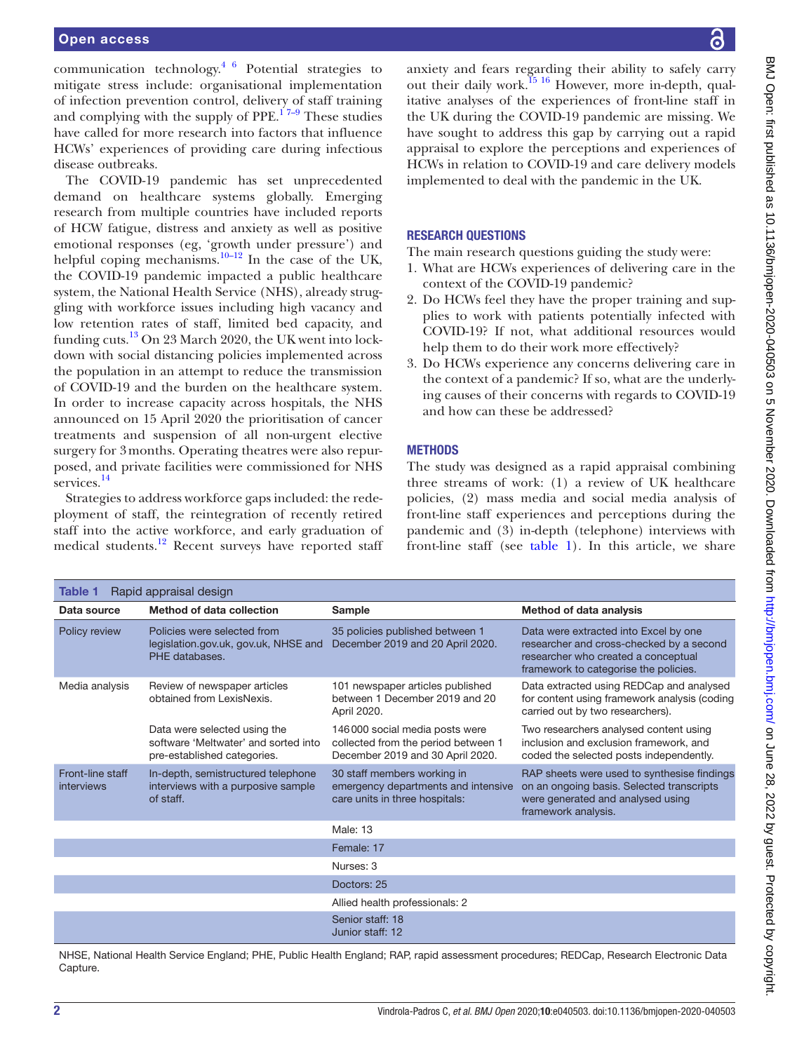communication technology.[4 6](#page-6-1) Potential strategies to mitigate stress include: organisational implementation of infection prevention control, delivery of staff training and complying with the supply of  $PPE.<sup>17-9</sup>$  These studies have called for more research into factors that influence HCWs' experiences of providing care during infectious disease outbreaks.

The COVID-19 pandemic has set unprecedented demand on healthcare systems globally. Emerging research from multiple countries have included reports of HCW fatigue, distress and anxiety as well as positive emotional responses (eg, 'growth under pressure') and helpful coping mechanisms.<sup>[10–12](#page-6-2)</sup> In the case of the UK, the COVID-19 pandemic impacted a public healthcare system, the National Health Service (NHS), already struggling with workforce issues including high vacancy and low retention rates of staff, limited bed capacity, and funding cuts. $13$  On 23 March 2020, the UK went into lockdown with social distancing policies implemented across the population in an attempt to reduce the transmission of COVID-19 and the burden on the healthcare system. In order to increase capacity across hospitals, the NHS announced on 15 April 2020 the prioritisation of cancer treatments and suspension of all non-urgent elective surgery for 3months. Operating theatres were also repurposed, and private facilities were commissioned for NHS services.<sup>[14](#page-6-4)</sup>

Strategies to address workforce gaps included: the redeployment of staff, the reintegration of recently retired staff into the active workforce, and early graduation of medical students.[12](#page-6-5) Recent surveys have reported staff

anxiety and fears regarding their ability to safely carry out their daily work.<sup>15 16</sup> However, more in-depth, qualitative analyses of the experiences of front-line staff in the UK during the COVID-19 pandemic are missing. We have sought to address this gap by carrying out a rapid appraisal to explore the perceptions and experiences of HCWs in relation to COVID-19 and care delivery models implemented to deal with the pandemic in the UK.

## RESEARCH QUESTIONS

The main research questions guiding the study were:

- 1. What are HCWs experiences of delivering care in the context of the COVID-19 pandemic?
- 2. Do HCWs feel they have the proper training and supplies to work with patients potentially infected with COVID-19? If not, what additional resources would help them to do their work more effectively?
- 3. Do HCWs experience any concerns delivering care in the context of a pandemic? If so, what are the underlying causes of their concerns with regards to COVID-19 and how can these be addressed?

## **METHODS**

The study was designed as a rapid appraisal combining three streams of work: (1) a review of UK healthcare policies, (2) mass media and social media analysis of front-line staff experiences and perceptions during the pandemic and (3) in-depth (telephone) interviews with front-line staff (see [table](#page-1-0) 1). In this article, we share

<span id="page-1-0"></span>

| Table 1<br>Rapid appraisal design                                                                   |                                                                                                           |                                                                                                                                                                   |  |  |
|-----------------------------------------------------------------------------------------------------|-----------------------------------------------------------------------------------------------------------|-------------------------------------------------------------------------------------------------------------------------------------------------------------------|--|--|
| Method of data collection                                                                           | Sample                                                                                                    | <b>Method of data analysis</b>                                                                                                                                    |  |  |
| Policies were selected from<br>legislation.gov.uk, gov.uk, NHSE and<br>PHE databases.               | 35 policies published between 1<br>December 2019 and 20 April 2020.                                       | Data were extracted into Excel by one<br>researcher and cross-checked by a second<br>researcher who created a conceptual<br>framework to categorise the policies. |  |  |
| Review of newspaper articles<br>obtained from LexisNexis.                                           | 101 newspaper articles published<br>between 1 December 2019 and 20<br>April 2020.                         | Data extracted using REDCap and analysed<br>for content using framework analysis (coding<br>carried out by two researchers).                                      |  |  |
| Data were selected using the<br>software 'Meltwater' and sorted into<br>pre-established categories. | 146000 social media posts were<br>collected from the period between 1<br>December 2019 and 30 April 2020. | Two researchers analysed content using<br>inclusion and exclusion framework, and<br>coded the selected posts independently.                                       |  |  |
| In-depth, semistructured telephone<br>interviews with a purposive sample<br>of staff.               | 30 staff members working in<br>emergency departments and intensive<br>care units in three hospitals:      | RAP sheets were used to synthesise findings<br>on an ongoing basis. Selected transcripts<br>were generated and analysed using<br>framework analysis.              |  |  |
|                                                                                                     | <b>Male: 13</b>                                                                                           |                                                                                                                                                                   |  |  |
|                                                                                                     | Female: 17                                                                                                |                                                                                                                                                                   |  |  |
|                                                                                                     | Nurses: 3                                                                                                 |                                                                                                                                                                   |  |  |
|                                                                                                     | Doctors: 25                                                                                               |                                                                                                                                                                   |  |  |
|                                                                                                     | Allied health professionals: 2                                                                            |                                                                                                                                                                   |  |  |
|                                                                                                     | Senior staff: 18<br>Junior staff: 12                                                                      |                                                                                                                                                                   |  |  |
|                                                                                                     |                                                                                                           |                                                                                                                                                                   |  |  |

NHSE, National Health Service England; PHE, Public Health England; RAP, rapid assessment procedures; REDCap, Research Electronic Data Capture.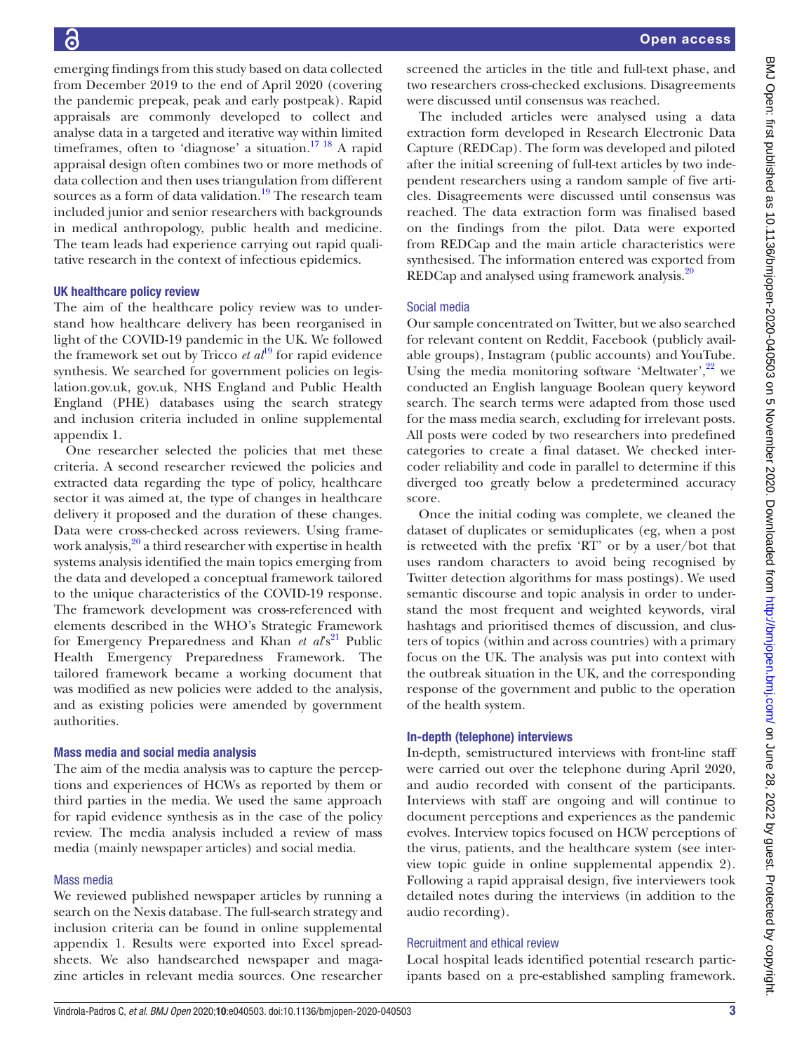emerging findings from this study based on data collected from December 2019 to the end of April 2020 (covering the pandemic prepeak, peak and early postpeak). Rapid appraisals are commonly developed to collect and analyse data in a targeted and iterative way within limited timeframes, often to 'diagnose' a situation.<sup>[17 18](#page-6-7)</sup> A rapid appraisal design often combines two or more methods of data collection and then uses triangulation from different sources as a form of data validation.<sup>19</sup> The research team included junior and senior researchers with backgrounds in medical anthropology, public health and medicine. The team leads had experience carrying out rapid qualitative research in the context of infectious epidemics.

# UK healthcare policy review

The aim of the healthcare policy review was to understand how healthcare delivery has been reorganised in light of the COVID-19 pandemic in the UK. We followed the framework set out by Tricco *et al*[19](#page-6-8) for rapid evidence synthesis. We searched for government policies on legislation.gov.uk, gov.uk, NHS England and Public Health England (PHE) databases using the search strategy and inclusion criteria included in [online supplemental](https://dx.doi.org/10.1136/bmjopen-2020-040503) [appendix 1](https://dx.doi.org/10.1136/bmjopen-2020-040503).

One researcher selected the policies that met these criteria. A second researcher reviewed the policies and extracted data regarding the type of policy, healthcare sector it was aimed at, the type of changes in healthcare delivery it proposed and the duration of these changes. Data were cross-checked across reviewers. Using framework analysis, $2^0$  a third researcher with expertise in health systems analysis identified the main topics emerging from the data and developed a conceptual framework tailored to the unique characteristics of the COVID-19 response. The framework development was cross-referenced with elements described in the WHO's Strategic Framework for Emergency Preparedness and Khan *et al*<sup>82</sup> Public Health Emergency Preparedness Framework. The tailored framework became a working document that was modified as new policies were added to the analysis, and as existing policies were amended by government authorities.

# Mass media and social media analysis

The aim of the media analysis was to capture the perceptions and experiences of HCWs as reported by them or third parties in the media. We used the same approach for rapid evidence synthesis as in the case of the policy review. The media analysis included a review of mass media (mainly newspaper articles) and social media.

# Mass media

We reviewed published newspaper articles by running a search on the Nexis database. The full-search strategy and inclusion criteria can be found in [online supplemental](https://dx.doi.org/10.1136/bmjopen-2020-040503) [appendix 1.](https://dx.doi.org/10.1136/bmjopen-2020-040503) Results were exported into Excel spreadsheets. We also handsearched newspaper and magazine articles in relevant media sources. One researcher

screened the articles in the title and full-text phase, and two researchers cross-checked exclusions. Disagreements were discussed until consensus was reached.

The included articles were analysed using a data extraction form developed in Research Electronic Data Capture (REDCap). The form was developed and piloted after the initial screening of full-text articles by two independent researchers using a random sample of five articles. Disagreements were discussed until consensus was reached. The data extraction form was finalised based on the findings from the pilot. Data were exported from REDCap and the main article characteristics were synthesised. The information entered was exported from REDCap and analysed using framework analysis.<sup>20</sup>

# Social media

Our sample concentrated on Twitter, but we also searched for relevant content on Reddit, Facebook (publicly available groups), Instagram (public accounts) and YouTube. Using the media monitoring software 'Meltwater', $^{22}$  we conducted an English language Boolean query keyword search. The search terms were adapted from those used for the mass media search, excluding for irrelevant posts. All posts were coded by two researchers into predefined categories to create a final dataset. We checked intercoder reliability and code in parallel to determine if this diverged too greatly below a predetermined accuracy score.

Once the initial coding was complete, we cleaned the dataset of duplicates or semiduplicates (eg, when a post is retweeted with the prefix 'RT' or by a user/bot that uses random characters to avoid being recognised by Twitter detection algorithms for mass postings). We used semantic discourse and topic analysis in order to understand the most frequent and weighted keywords, viral hashtags and prioritised themes of discussion, and clusters of topics (within and across countries) with a primary focus on the UK. The analysis was put into context with the outbreak situation in the UK, and the corresponding response of the government and public to the operation of the health system.

# In-depth (telephone) interviews

In-depth, semistructured interviews with front-line staff were carried out over the telephone during April 2020, and audio recorded with consent of the participants. Interviews with staff are ongoing and will continue to document perceptions and experiences as the pandemic evolves. Interview topics focused on HCW perceptions of the virus, patients, and the healthcare system (see interview topic guide in [online supplemental appendix 2\)](https://dx.doi.org/10.1136/bmjopen-2020-040503). Following a rapid appraisal design, five interviewers took detailed notes during the interviews (in addition to the audio recording).

# Recruitment and ethical review

Local hospital leads identified potential research participants based on a pre-established sampling framework.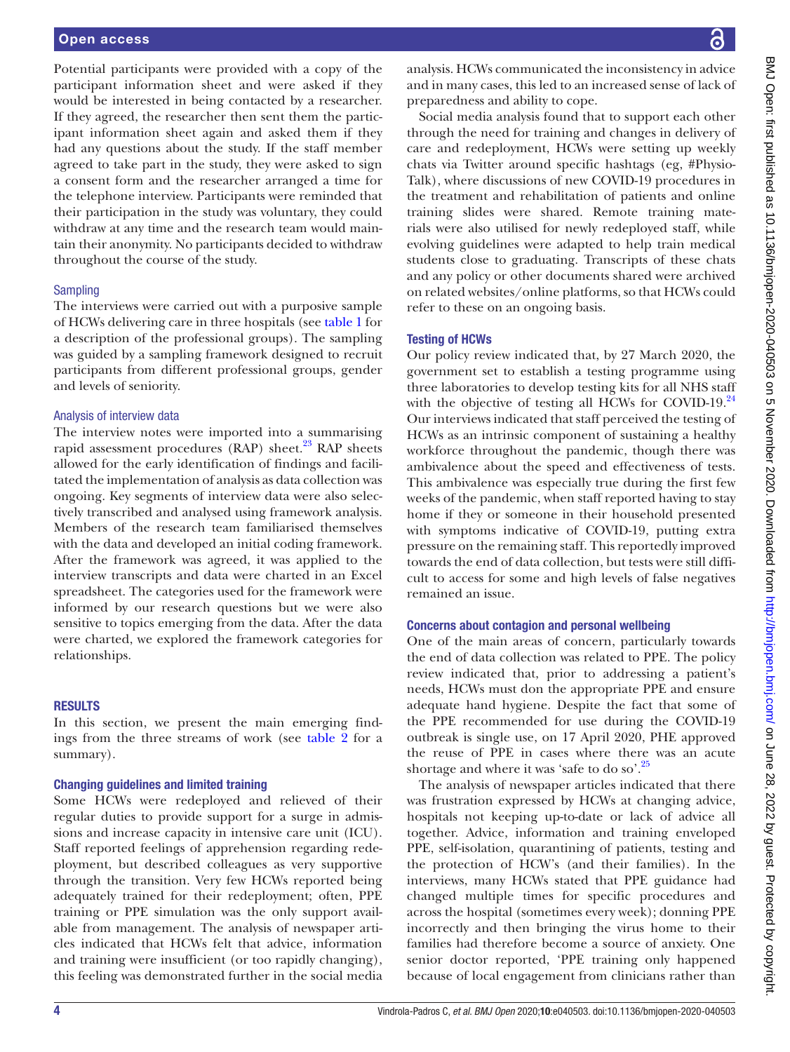## Open access

Potential participants were provided with a copy of the participant information sheet and were asked if they would be interested in being contacted by a researcher. If they agreed, the researcher then sent them the participant information sheet again and asked them if they had any questions about the study. If the staff member agreed to take part in the study, they were asked to sign a consent form and the researcher arranged a time for the telephone interview. Participants were reminded that their participation in the study was voluntary, they could withdraw at any time and the research team would maintain their anonymity. No participants decided to withdraw throughout the course of the study.

## Sampling

The interviews were carried out with a purposive sample of HCWs delivering care in three hospitals (see [table](#page-1-0) 1 for a description of the professional groups). The sampling was guided by a sampling framework designed to recruit participants from different professional groups, gender and levels of seniority.

#### Analysis of interview data

The interview notes were imported into a summarising rapid assessment procedures (RAP) sheet.<sup>[23](#page-6-12)</sup> RAP sheets allowed for the early identification of findings and facilitated the implementation of analysis as data collection was ongoing. Key segments of interview data were also selectively transcribed and analysed using framework analysis. Members of the research team familiarised themselves with the data and developed an initial coding framework. After the framework was agreed, it was applied to the interview transcripts and data were charted in an Excel spreadsheet. The categories used for the framework were informed by our research questions but we were also sensitive to topics emerging from the data. After the data were charted, we explored the framework categories for relationships.

#### **RESULTS**

In this section, we present the main emerging findings from the three streams of work (see [table](#page-4-0) 2 for a summary).

#### Changing guidelines and limited training

Some HCWs were redeployed and relieved of their regular duties to provide support for a surge in admissions and increase capacity in intensive care unit (ICU). Staff reported feelings of apprehension regarding redeployment, but described colleagues as very supportive through the transition. Very few HCWs reported being adequately trained for their redeployment; often, PPE training or PPE simulation was the only support available from management. The analysis of newspaper articles indicated that HCWs felt that advice, information and training were insufficient (or too rapidly changing), this feeling was demonstrated further in the social media

analysis. HCWs communicated the inconsistency in advice and in many cases, this led to an increased sense of lack of preparedness and ability to cope.

Social media analysis found that to support each other through the need for training and changes in delivery of care and redeployment, HCWs were setting up weekly chats via Twitter around specific hashtags (eg, #Physio-Talk), where discussions of new COVID-19 procedures in the treatment and rehabilitation of patients and online training slides were shared. Remote training materials were also utilised for newly redeployed staff, while evolving guidelines were adapted to help train medical students close to graduating. Transcripts of these chats and any policy or other documents shared were archived on related websites/online platforms, so that HCWs could refer to these on an ongoing basis.

## Testing of HCWs

Our policy review indicated that, by 27 March 2020, the government set to establish a testing programme using three laboratories to develop testing kits for all NHS staff with the objective of testing all HCWs for COVID-19. $^{24}$  $^{24}$  $^{24}$ Our interviews indicated that staff perceived the testing of HCWs as an intrinsic component of sustaining a healthy workforce throughout the pandemic, though there was ambivalence about the speed and effectiveness of tests. This ambivalence was especially true during the first few weeks of the pandemic, when staff reported having to stay home if they or someone in their household presented with symptoms indicative of COVID-19, putting extra pressure on the remaining staff. This reportedly improved towards the end of data collection, but tests were still difficult to access for some and high levels of false negatives remained an issue.

## Concerns about contagion and personal wellbeing

One of the main areas of concern, particularly towards the end of data collection was related to PPE. The policy review indicated that, prior to addressing a patient's needs, HCWs must don the appropriate PPE and ensure adequate hand hygiene. Despite the fact that some of the PPE recommended for use during the COVID-19 outbreak is single use, on 17 April 2020, PHE approved the reuse of PPE in cases where there was an acute shortage and where it was 'safe to do so'.<sup>25</sup>

The analysis of newspaper articles indicated that there was frustration expressed by HCWs at changing advice, hospitals not keeping up-to-date or lack of advice all together. Advice, information and training enveloped PPE, self-isolation, quarantining of patients, testing and the protection of HCW's (and their families). In the interviews, many HCWs stated that PPE guidance had changed multiple times for specific procedures and across the hospital (sometimes every week); donning PPE incorrectly and then bringing the virus home to their families had therefore become a source of anxiety. One senior doctor reported, 'PPE training only happened because of local engagement from clinicians rather than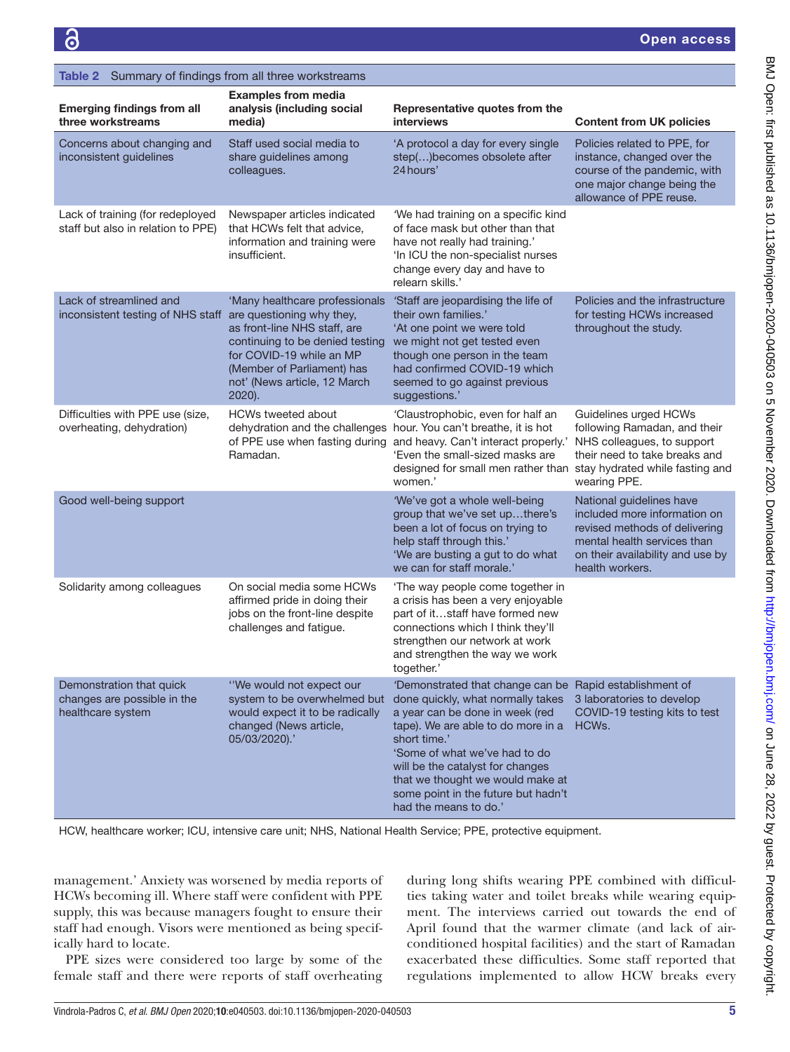<span id="page-4-0"></span>

| Table 2 Summary of findings from all three workstreams                                 |                                                                                                                                                                                                          |                                                                                                                                                                                                                                                                                                                                                                |                                                                                                                                                                                 |  |
|----------------------------------------------------------------------------------------|----------------------------------------------------------------------------------------------------------------------------------------------------------------------------------------------------------|----------------------------------------------------------------------------------------------------------------------------------------------------------------------------------------------------------------------------------------------------------------------------------------------------------------------------------------------------------------|---------------------------------------------------------------------------------------------------------------------------------------------------------------------------------|--|
| <b>Emerging findings from all</b><br>three workstreams                                 | <b>Examples from media</b><br>analysis (including social<br>media)                                                                                                                                       | Representative quotes from the<br>interviews                                                                                                                                                                                                                                                                                                                   | <b>Content from UK policies</b>                                                                                                                                                 |  |
| Concerns about changing and<br>inconsistent guidelines                                 | Staff used social media to<br>share guidelines among<br>colleagues.                                                                                                                                      | 'A protocol a day for every single<br>step()becomes obsolete after<br>24 hours'                                                                                                                                                                                                                                                                                | Policies related to PPE, for<br>instance, changed over the<br>course of the pandemic, with<br>one major change being the<br>allowance of PPE reuse.                             |  |
| Lack of training (for redeployed<br>staff but also in relation to PPE)                 | Newspaper articles indicated<br>that HCWs felt that advice,<br>information and training were<br>insufficient.                                                                                            | 'We had training on a specific kind<br>of face mask but other than that<br>have not really had training.'<br>'In ICU the non-specialist nurses<br>change every day and have to<br>relearn skills.'                                                                                                                                                             |                                                                                                                                                                                 |  |
| Lack of streamlined and<br>inconsistent testing of NHS staff are questioning why they, | 'Many healthcare professionals<br>as front-line NHS staff, are<br>continuing to be denied testing<br>for COVID-19 while an MP<br>(Member of Parliament) has<br>not' (News article, 12 March<br>$2020$ ). | 'Staff are jeopardising the life of<br>their own families.'<br>'At one point we were told<br>we might not get tested even<br>though one person in the team<br>had confirmed COVID-19 which<br>seemed to go against previous<br>suggestions.'                                                                                                                   | Policies and the infrastructure<br>for testing HCWs increased<br>throughout the study.                                                                                          |  |
| Difficulties with PPE use (size,<br>overheating, dehydration)                          | HCWs tweeted about<br>Ramadan.                                                                                                                                                                           | 'Claustrophobic, even for half an<br>dehydration and the challenges hour. You can't breathe, it is hot<br>of PPE use when fasting during and heavy. Can't interact properly.' NHS colleagues, to support<br>'Even the small-sized masks are<br>designed for small men rather than stay hydrated while fasting and<br>women.'                                   | Guidelines urged HCWs<br>following Ramadan, and their<br>their need to take breaks and<br>wearing PPE.                                                                          |  |
| Good well-being support                                                                |                                                                                                                                                                                                          | 'We've got a whole well-being<br>group that we've set upthere's<br>been a lot of focus on trying to<br>help staff through this.'<br>'We are busting a gut to do what<br>we can for staff morale.'                                                                                                                                                              | National guidelines have<br>included more information on<br>revised methods of delivering<br>mental health services than<br>on their availability and use by<br>health workers. |  |
| Solidarity among colleagues                                                            | On social media some HCWs<br>affirmed pride in doing their<br>jobs on the front-line despite<br>challenges and fatigue.                                                                                  | 'The way people come together in<br>a crisis has been a very enjoyable<br>part of itstaff have formed new<br>connections which I think they'll<br>strengthen our network at work<br>and strengthen the way we work<br>together.                                                                                                                                |                                                                                                                                                                                 |  |
| Demonstration that quick<br>changes are possible in the<br>healthcare system           | "We would not expect our<br>system to be overwhelmed but<br>would expect it to be radically<br>changed (News article,<br>05/03/2020).'                                                                   | 'Demonstrated that change can be Rapid establishment of<br>done quickly, what normally takes<br>a year can be done in week (red<br>tape). We are able to do more in a<br>short time.'<br>'Some of what we've had to do<br>will be the catalyst for changes<br>that we thought we would make at<br>some point in the future but hadn't<br>had the means to do.' | 3 laboratories to develop<br>COVID-19 testing kits to test<br>HCWs.                                                                                                             |  |

HCW, healthcare worker; ICU, intensive care unit; NHS, National Health Service; PPE, protective equipment.

management.' Anxiety was worsened by media reports of HCWs becoming ill. Where staff were confident with PPE supply, this was because managers fought to ensure their staff had enough. Visors were mentioned as being specifically hard to locate.

PPE sizes were considered too large by some of the female staff and there were reports of staff overheating

during long shifts wearing PPE combined with difficulties taking water and toilet breaks while wearing equipment. The interviews carried out towards the end of April found that the warmer climate (and lack of airconditioned hospital facilities) and the start of Ramadan exacerbated these difficulties. Some staff reported that regulations implemented to allow HCW breaks every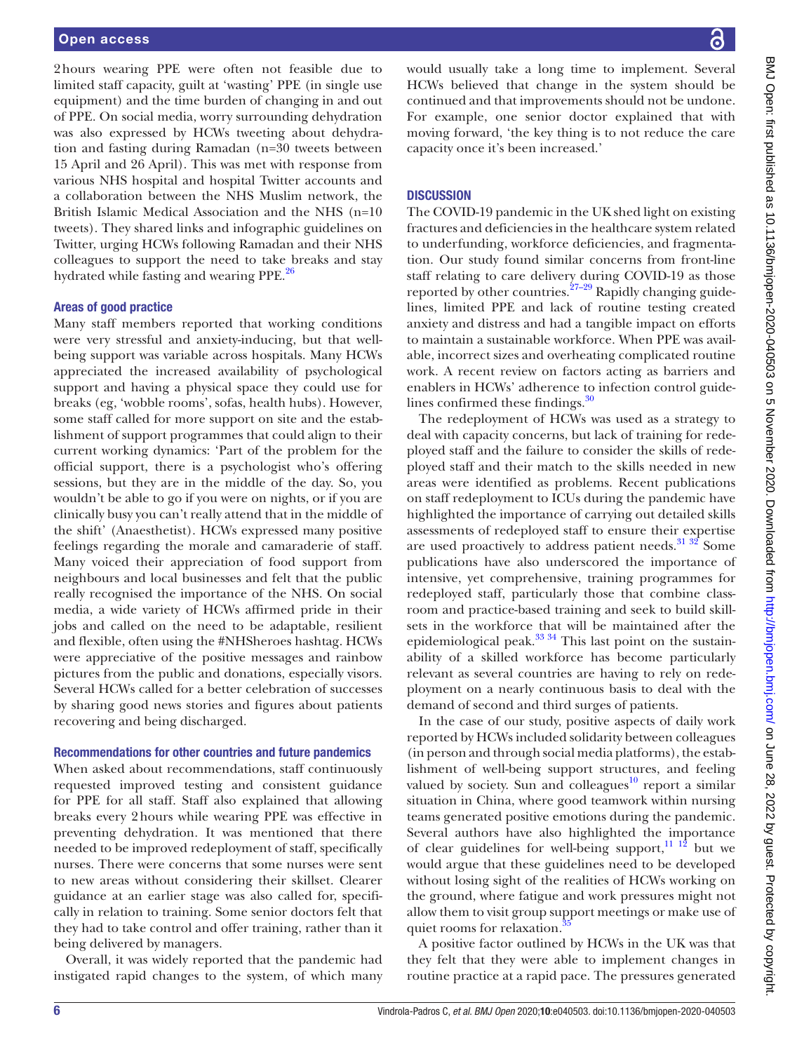2hours wearing PPE were often not feasible due to limited staff capacity, guilt at 'wasting' PPE (in single use equipment) and the time burden of changing in and out of PPE. On social media, worry surrounding dehydration was also expressed by HCWs tweeting about dehydration and fasting during Ramadan (n=30 tweets between 15 April and 26 April). This was met with response from various NHS hospital and hospital Twitter accounts and a collaboration between the NHS Muslim network, the British Islamic Medical Association and the NHS (n=10 tweets). They shared links and infographic guidelines on Twitter, urging HCWs following Ramadan and their NHS colleagues to support the need to take breaks and stay hydrated while fasting and wearing PPE.<sup>26</sup>

## Areas of good practice

Many staff members reported that working conditions were very stressful and anxiety-inducing, but that wellbeing support was variable across hospitals. Many HCWs appreciated the increased availability of psychological support and having a physical space they could use for breaks (eg, 'wobble rooms', sofas, health hubs). However, some staff called for more support on site and the establishment of support programmes that could align to their current working dynamics: 'Part of the problem for the official support, there is a psychologist who's offering sessions, but they are in the middle of the day. So, you wouldn't be able to go if you were on nights, or if you are clinically busy you can't really attend that in the middle of the shift' (Anaesthetist). HCWs expressed many positive feelings regarding the morale and camaraderie of staff. Many voiced their appreciation of food support from neighbours and local businesses and felt that the public really recognised the importance of the NHS. On social media, a wide variety of HCWs affirmed pride in their jobs and called on the need to be adaptable, resilient and flexible, often using the #NHSheroes hashtag. HCWs were appreciative of the positive messages and rainbow pictures from the public and donations, especially visors. Several HCWs called for a better celebration of successes by sharing good news stories and figures about patients recovering and being discharged.

## Recommendations for other countries and future pandemics

When asked about recommendations, staff continuously requested improved testing and consistent guidance for PPE for all staff. Staff also explained that allowing breaks every 2hours while wearing PPE was effective in preventing dehydration. It was mentioned that there needed to be improved redeployment of staff, specifically nurses. There were concerns that some nurses were sent to new areas without considering their skillset. Clearer guidance at an earlier stage was also called for, specifically in relation to training. Some senior doctors felt that they had to take control and offer training, rather than it being delivered by managers.

Overall, it was widely reported that the pandemic had instigated rapid changes to the system, of which many would usually take a long time to implement. Several HCWs believed that change in the system should be continued and that improvements should not be undone. For example, one senior doctor explained that with moving forward, 'the key thing is to not reduce the care capacity once it's been increased.'

# **DISCUSSION**

The COVID-19 pandemic in the UK shed light on existing fractures and deficiencies in the healthcare system related to underfunding, workforce deficiencies, and fragmentation. Our study found similar concerns from front-line staff relating to care delivery during COVID-19 as those reported by other countries.  $27-29$  Rapidly changing guidelines, limited PPE and lack of routine testing created anxiety and distress and had a tangible impact on efforts to maintain a sustainable workforce. When PPE was available, incorrect sizes and overheating complicated routine work. A recent review on factors acting as barriers and enablers in HCWs' adherence to infection control guidelines confirmed these findings. $30$ 

The redeployment of HCWs was used as a strategy to deal with capacity concerns, but lack of training for redeployed staff and the failure to consider the skills of redeployed staff and their match to the skills needed in new areas were identified as problems. Recent publications on staff redeployment to ICUs during the pandemic have highlighted the importance of carrying out detailed skills assessments of redeployed staff to ensure their expertise are used proactively to address patient needs.<sup>31 32</sup> Some publications have also underscored the importance of intensive, yet comprehensive, training programmes for redeployed staff, particularly those that combine classroom and practice-based training and seek to build skillsets in the workforce that will be maintained after the epidemiological peak. $3334$  This last point on the sustainability of a skilled workforce has become particularly relevant as several countries are having to rely on redeployment on a nearly continuous basis to deal with the demand of second and third surges of patients.

In the case of our study, positive aspects of daily work reported by HCWs included solidarity between colleagues (in person and through social media platforms), the establishment of well-being support structures, and feeling valued by society. Sun and colleagues $10$  report a similar situation in China, where good teamwork within nursing teams generated positive emotions during the pandemic. Several authors have also highlighted the importance of clear guidelines for well-being support, $\frac{11 \cdot 12}{11}$  but we would argue that these guidelines need to be developed without losing sight of the realities of HCWs working on the ground, where fatigue and work pressures might not allow them to visit group support meetings or make use of quiet rooms for relaxation.<sup>3</sup>

A positive factor outlined by HCWs in the UK was that they felt that they were able to implement changes in routine practice at a rapid pace. The pressures generated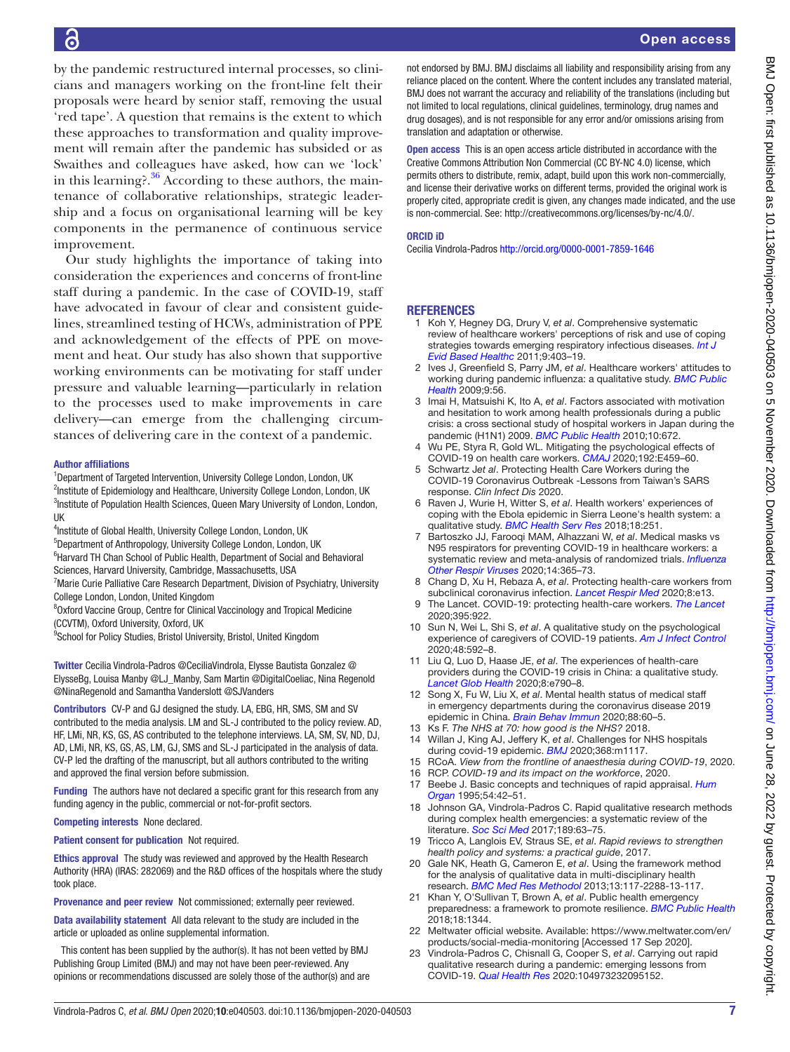by the pandemic restructured internal processes, so clinicians and managers working on the front-line felt their proposals were heard by senior staff, removing the usual 'red tape'. A question that remains is the extent to which these approaches to transformation and quality improvement will remain after the pandemic has subsided or as Swaithes and colleagues have asked, how can we 'lock' in this learning?. $36$  According to these authors, the maintenance of collaborative relationships, strategic leadership and a focus on organisational learning will be key components in the permanence of continuous service improvement.

Our study highlights the importance of taking into consideration the experiences and concerns of front-line staff during a pandemic. In the case of COVID-19, staff have advocated in favour of clear and consistent guidelines, streamlined testing of HCWs, administration of PPE and acknowledgement of the effects of PPE on movement and heat. Our study has also shown that supportive working environments can be motivating for staff under pressure and valuable learning—particularly in relation to the processes used to make improvements in care delivery—can emerge from the challenging circumstances of delivering care in the context of a pandemic.

#### Author affiliations

<sup>1</sup>Department of Targeted Intervention, University College London, London, UK <sup>2</sup>Institute of Epidemiology and Healthcare, University College London, London, UK <sup>3</sup>Institute of Population Health Sciences, Queen Mary University of London, London, UK

<sup>4</sup>Institute of Global Health, University College London, London, UK

5 Department of Anthropology, University College London, London, UK

<sup>6</sup> Harvard TH Chan School of Public Health, Department of Social and Behavioral Sciences, Harvard University, Cambridge, Massachusetts, USA

<sup>7</sup> Marie Curie Palliative Care Research Department, Division of Psychiatry, University College London, London, United Kingdom

<sup>8</sup>Oxford Vaccine Group, Centre for Clinical Vaccinology and Tropical Medicine (CCVTM), Oxford University, Oxford, UK

<sup>9</sup>School for Policy Studies, Bristol University, Bristol, United Kingdom

Twitter Cecilia Vindrola-Padros [@CeciliaVindrola](https://twitter.com/CeciliaVindrola), Elysse Bautista Gonzalez [@](https://twitter.com/ElysseBg) [ElysseBg](https://twitter.com/ElysseBg), Louisa Manby [@LJ\\_Manby](https://twitter.com/LJ_Manby), Sam Martin [@DigitalCoeliac](https://twitter.com/DigitalCoeliac), Nina Regenold [@NinaRegenold](https://twitter.com/NinaRegenold) and Samantha Vanderslott [@SJVanders](https://twitter.com/SJVanders)

Contributors CV-P and GJ designed the study. LA, EBG, HR, SMS, SM and SV contributed to the media analysis. LM and SL-J contributed to the policy review. AD, HF, LMi, NR, KS, GS, AS contributed to the telephone interviews. LA, SM, SV, ND, DJ, AD, LMi, NR, KS, GS, AS, LM, GJ, SMS and SL-J participated in the analysis of data. CV-P led the drafting of the manuscript, but all authors contributed to the writing and approved the final version before submission.

Funding The authors have not declared a specific grant for this research from any funding agency in the public, commercial or not-for-profit sectors.

#### Competing interests None declared.

Patient consent for publication Not required.

Ethics approval The study was reviewed and approved by the Health Research Authority (HRA) (IRAS: 282069) and the R&D offices of the hospitals where the study took place.

Provenance and peer review Not commissioned; externally peer reviewed.

Data availability statement All data relevant to the study are included in the article or uploaded as online supplemental information.

This content has been supplied by the author(s). It has not been vetted by BMJ Publishing Group Limited (BMJ) and may not have been peer-reviewed. Any opinions or recommendations discussed are solely those of the author(s) and are not endorsed by BMJ. BMJ disclaims all liability and responsibility arising from any reliance placed on the content. Where the content includes any translated material, BMJ does not warrant the accuracy and reliability of the translations (including but not limited to local regulations, clinical guidelines, terminology, drug names and drug dosages), and is not responsible for any error and/or omissions arising from translation and adaptation or otherwise.

Open access This is an open access article distributed in accordance with the Creative Commons Attribution Non Commercial (CC BY-NC 4.0) license, which permits others to distribute, remix, adapt, build upon this work non-commercially, and license their derivative works on different terms, provided the original work is properly cited, appropriate credit is given, any changes made indicated, and the use is non-commercial. See: [http://creativecommons.org/licenses/by-nc/4.0/.](http://creativecommons.org/licenses/by-nc/4.0/)

## ORCID iD

Cecilia Vindrola-Padros<http://orcid.org/0000-0001-7859-1646>

## **REFERENCES**

- <span id="page-6-0"></span>1 Koh Y, Hegney DG, Drury V, *et al*. Comprehensive systematic review of healthcare workers' perceptions of risk and use of coping strategies towards emerging respiratory infectious diseases. *[Int J](http://dx.doi.org/10.1111/j.1744-1609.2011.00242.x)  [Evid Based Healthc](http://dx.doi.org/10.1111/j.1744-1609.2011.00242.x)* 2011;9:403–19.
- 2 Ives J, Greenfield S, Parry JM, *et al*. Healthcare workers' attitudes to working during pandemic influenza: a qualitative study. *[BMC Public](http://dx.doi.org/10.1186/1471-2458-9-56)  [Health](http://dx.doi.org/10.1186/1471-2458-9-56)* 2009;9:56.
- 3 Imai H, Matsuishi K, Ito A, *et al*. Factors associated with motivation and hesitation to work among health professionals during a public crisis: a cross sectional study of hospital workers in Japan during the pandemic (H1N1) 2009. *[BMC Public Health](http://dx.doi.org/10.1186/1471-2458-10-672)* 2010;10:672.
- <span id="page-6-1"></span>4 Wu PE, Styra R, Gold WL. Mitigating the psychological effects of COVID-19 on health care workers. *[CMAJ](http://dx.doi.org/10.1503/cmaj.200519)* 2020;192:E459–60.
- 5 Schwartz J*et al*. Protecting Health Care Workers during the COVID-19 Coronavirus Outbreak -Lessons from Taiwan's SARS response. *Clin Infect Dis* 2020.
- 6 Raven J, Wurie H, Witter S, *et al*. Health workers' experiences of coping with the Ebola epidemic in Sierra Leone's health system: a qualitative study. *[BMC Health Serv Res](http://dx.doi.org/10.1186/s12913-018-3072-3)* 2018;18:251.
- 7 Bartoszko JJ, Farooqi MAM, Alhazzani W, *et al*. Medical masks vs N95 respirators for preventing COVID-19 in healthcare workers: a systematic review and meta-analysis of randomized trials. *[Influenza](http://dx.doi.org/10.1111/irv.12745)  [Other Respir Viruses](http://dx.doi.org/10.1111/irv.12745)* 2020;14:365–73.
- 8 Chang D, Xu H, Rebaza A, *et al*. Protecting health-care workers from subclinical coronavirus infection. *[Lancet Respir Med](http://dx.doi.org/10.1016/S2213-2600(20)30066-7)* 2020;8:e13.
- 9 The Lancet. COVID-19: protecting health-care workers. *[The Lancet](http://dx.doi.org/10.1016/S0140-6736(20)30644-9)* 2020;395:922.
- <span id="page-6-2"></span>10 Sun N, Wei L, Shi S, *et al*. A qualitative study on the psychological experience of caregivers of COVID-19 patients. *[Am J Infect Control](http://dx.doi.org/10.1016/j.ajic.2020.03.018)* 2020;48:592–8.
- <span id="page-6-13"></span>11 Liu Q, Luo D, Haase JE, *et al*. The experiences of health-care providers during the COVID-19 crisis in China: a qualitative study. *[Lancet Glob Health](http://dx.doi.org/10.1016/S2214-109X(20)30204-7)* 2020;8:e790–8.
- <span id="page-6-5"></span>12 Song X, Fu W, Liu X, *et al*. Mental health status of medical staff in emergency departments during the coronavirus disease 2019 epidemic in China. *[Brain Behav Immun](http://dx.doi.org/10.1016/j.bbi.2020.06.002)* 2020;88:60–5.
- <span id="page-6-3"></span>13 Ks F. *The NHS at 70: how good is the NHS?* 2018.
- <span id="page-6-4"></span>14 Willan J, King AJ, Jeffery K, *et al*. Challenges for NHS hospitals during covid-19 epidemic. *[BMJ](http://dx.doi.org/10.1136/bmj.m1117)* 2020;368:m1117.
- <span id="page-6-6"></span>15 RCoA. *View from the frontline of anaesthesia during COVID-19*, 2020.
- 16 RCP. *COVID-19 and its impact on the workforce*, 2020.
- <span id="page-6-7"></span>17 Beebe J. Basic concepts and techniques of rapid appraisal. *[Hum](http://dx.doi.org/10.17730/humo.54.1.k84tv883mr2756l3)  [Organ](http://dx.doi.org/10.17730/humo.54.1.k84tv883mr2756l3)* 1995;54:42–51.
- 18 Johnson GA, Vindrola-Padros C. Rapid qualitative research methods during complex health emergencies: a systematic review of the literature. *[Soc Sci Med](http://dx.doi.org/10.1016/j.socscimed.2017.07.029)* 2017;189:63–75.
- <span id="page-6-8"></span>19 Tricco A, Langlois EV, Straus SE, *et al*. *Rapid reviews to strengthen health policy and systems: a practical guide*, 2017.
- <span id="page-6-9"></span>20 Gale NK, Heath G, Cameron E, *et al*. Using the framework method for the analysis of qualitative data in multi-disciplinary health research. *[BMC Med Res Methodol](http://dx.doi.org/10.1186/1471-2288-13-117)* 2013;13:117-2288-13-117.
- <span id="page-6-10"></span>21 Khan Y, O'Sullivan T, Brown A, *et al*. Public health emergency preparedness: a framework to promote resilience. *[BMC Public Health](http://dx.doi.org/10.1186/s12889-018-6250-7)* 2018;18:1344.
- <span id="page-6-11"></span>22 Meltwater official website. Available: [https://www.meltwater.com/en/](https://www.meltwater.com/en/products/social-media-monitoring) [products/social-media-monitoring](https://www.meltwater.com/en/products/social-media-monitoring) [Accessed 17 Sep 2020].
- <span id="page-6-12"></span>23 Vindrola-Padros C, Chisnall G, Cooper S, *et al*. Carrying out rapid qualitative research during a pandemic: emerging lessons from COVID-19. *[Qual Health Res](http://dx.doi.org/10.1177/1049732320951526)* 2020:104973232095152.